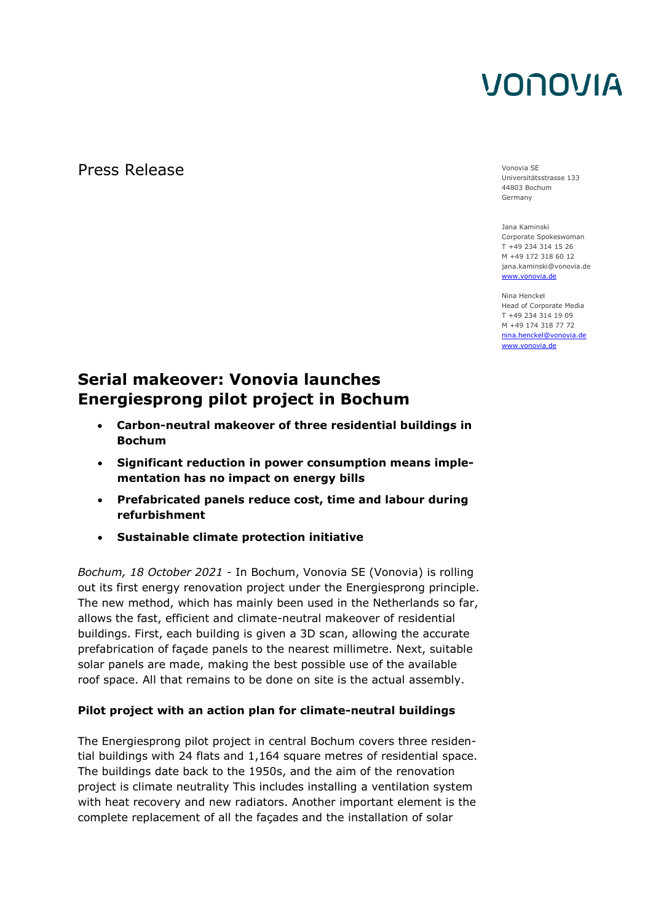# VONOVIA

Press Release Vonovia SE

Universitätsstrasse 133 44803 Bochum Germany

Jana Kaminski Corporate Spokeswoman T +49 234 314 15 26 M +49 172 318 60 12 jana.kaminski@vonovia.de [www.vonovia.de](http://www.vonovia.de/)

Nina Henckel Head of Corporate Media T +49 234 314 19 09 M +49 174 318 77 72 [nina.henckel@vonovia.de](mailto:nina.henckel@vonovia.de) www.vonovia.de

### **Serial makeover: Vonovia launches Energiesprong pilot project in Bochum**

- **Carbon-neutral makeover of three residential buildings in Bochum**
- **Significant reduction in power consumption means implementation has no impact on energy bills**
- **Prefabricated panels reduce cost, time and labour during refurbishment**
- **Sustainable climate protection initiative**

*Bochum, 18 October 2021* - In Bochum, Vonovia SE (Vonovia) is rolling out its first energy renovation project under the Energiesprong principle. The new method, which has mainly been used in the Netherlands so far, allows the fast, efficient and climate-neutral makeover of residential buildings. First, each building is given a 3D scan, allowing the accurate prefabrication of façade panels to the nearest millimetre. Next, suitable solar panels are made, making the best possible use of the available roof space. All that remains to be done on site is the actual assembly.

### **Pilot project with an action plan for climate-neutral buildings**

The Energiesprong pilot project in central Bochum covers three residential buildings with 24 flats and 1,164 square metres of residential space. The buildings date back to the 1950s, and the aim of the renovation project is climate neutrality This includes installing a ventilation system with heat recovery and new radiators. Another important element is the complete replacement of all the façades and the installation of solar